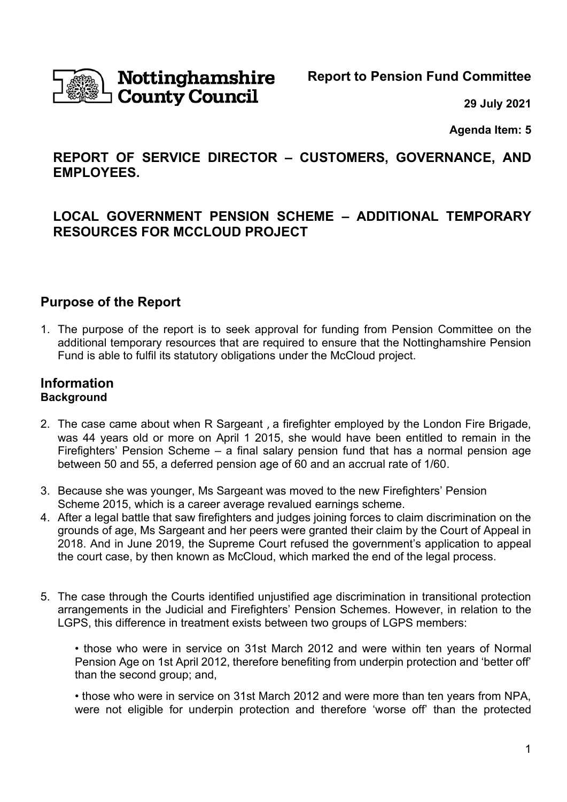

# Nottinghamshire **County Council**

**Report to Pension Fund Committee**

**29 July 2021**

**Agenda Item: 5**

# **REPORT OF SERVICE DIRECTOR – CUSTOMERS, GOVERNANCE, AND EMPLOYEES.**

# **LOCAL GOVERNMENT PENSION SCHEME – ADDITIONAL TEMPORARY RESOURCES FOR MCCLOUD PROJECT**

## **Purpose of the Report**

1. The purpose of the report is to seek approval for funding from Pension Committee on the additional temporary resources that are required to ensure that the Nottinghamshire Pension Fund is able to fulfil its statutory obligations under the McCloud project.

#### **Information Background**

- 2. The case came about when R Sargeant , a firefighter employed by the London Fire Brigade, was 44 years old or more on April 1 2015, she would have been entitled to remain in the Firefighters' Pension Scheme – a final salary pension fund that has a normal pension age between 50 and 55, a deferred pension age of 60 and an accrual rate of 1/60.
- 3. Because she was younger, Ms Sargeant was moved to the new Firefighters' Pension Scheme 2015, which is a career average revalued earnings scheme.
- 4. After a legal battle that saw firefighters and judges joining forces to claim discrimination on the grounds of age, Ms Sargeant and her peers were granted their claim by the Court of Appeal in 2018. And in June 2019, the Supreme Court refused the government's application to appeal the court case, by then known as McCloud, which marked the end of the legal process.
- 5. The case through the Courts identified unjustified age discrimination in transitional protection arrangements in the Judicial and Firefighters' Pension Schemes. However, in relation to the LGPS, this difference in treatment exists between two groups of LGPS members:

• those who were in service on 31st March 2012 and were within ten years of Normal Pension Age on 1st April 2012, therefore benefiting from underpin protection and 'better off' than the second group; and,

• those who were in service on 31st March 2012 and were more than ten years from NPA, were not eligible for underpin protection and therefore 'worse off' than the protected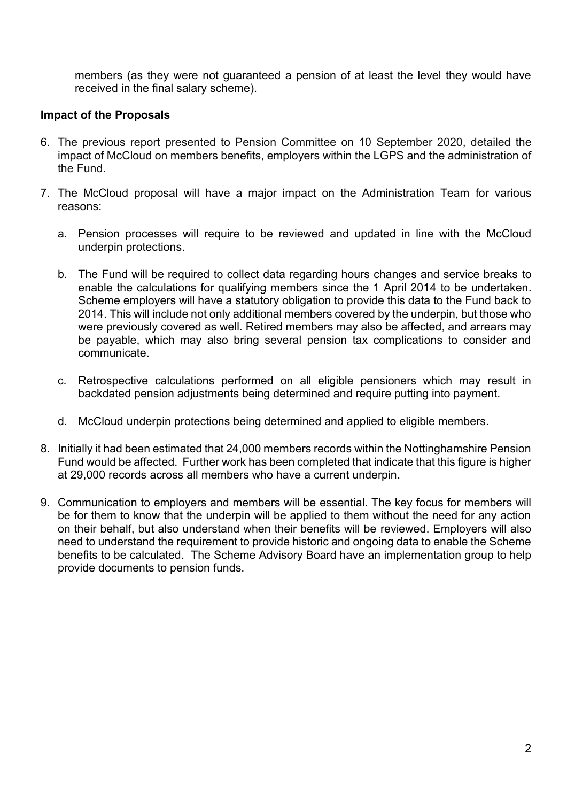members (as they were not guaranteed a pension of at least the level they would have received in the final salary scheme).

#### **Impact of the Proposals**

- 6. The previous report presented to Pension Committee on 10 September 2020, detailed the impact of McCloud on members benefits, employers within the LGPS and the administration of the Fund.
- 7. The McCloud proposal will have a major impact on the Administration Team for various reasons:
	- a. Pension processes will require to be reviewed and updated in line with the McCloud underpin protections.
	- b. The Fund will be required to collect data regarding hours changes and service breaks to enable the calculations for qualifying members since the 1 April 2014 to be undertaken. Scheme employers will have a statutory obligation to provide this data to the Fund back to 2014. This will include not only additional members covered by the underpin, but those who were previously covered as well. Retired members may also be affected, and arrears may be payable, which may also bring several pension tax complications to consider and communicate.
	- c. Retrospective calculations performed on all eligible pensioners which may result in backdated pension adjustments being determined and require putting into payment.
	- d. McCloud underpin protections being determined and applied to eligible members.
- 8. Initially it had been estimated that 24,000 members records within the Nottinghamshire Pension Fund would be affected. Further work has been completed that indicate that this figure is higher at 29,000 records across all members who have a current underpin.
- 9. Communication to employers and members will be essential. The key focus for members will be for them to know that the underpin will be applied to them without the need for any action on their behalf, but also understand when their benefits will be reviewed. Employers will also need to understand the requirement to provide historic and ongoing data to enable the Scheme benefits to be calculated. The Scheme Advisory Board have an implementation group to help provide documents to pension funds.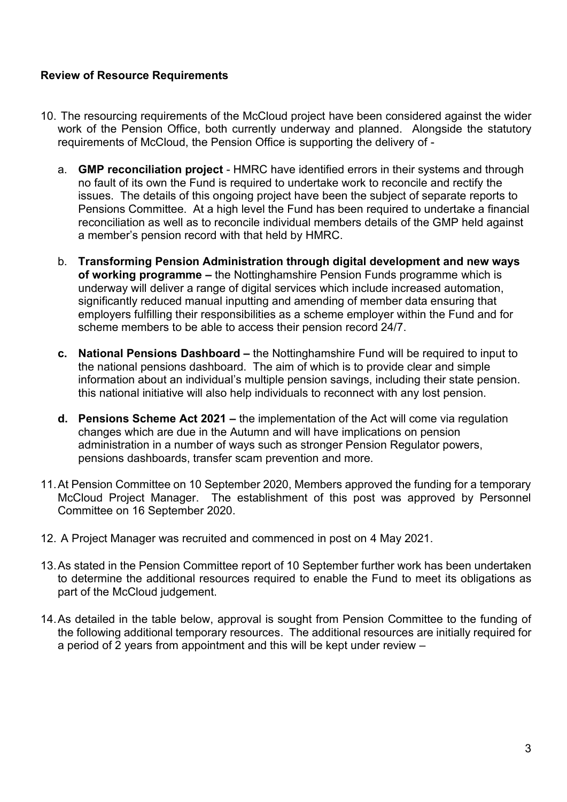#### **Review of Resource Requirements**

- 10. The resourcing requirements of the McCloud project have been considered against the wider work of the Pension Office, both currently underway and planned. Alongside the statutory requirements of McCloud, the Pension Office is supporting the delivery of
	- a. **GMP reconciliation project** HMRC have identified errors in their systems and through no fault of its own the Fund is required to undertake work to reconcile and rectify the issues. The details of this ongoing project have been the subject of separate reports to Pensions Committee. At a high level the Fund has been required to undertake a financial reconciliation as well as to reconcile individual members details of the GMP held against a member's pension record with that held by HMRC.
	- b. **Transforming Pension Administration through digital development and new ways of working programme –** the Nottinghamshire Pension Funds programme which is underway will deliver a range of digital services which include increased automation, significantly reduced manual inputting and amending of member data ensuring that employers fulfilling their responsibilities as a scheme employer within the Fund and for scheme members to be able to access their pension record 24/7.
	- **c. National Pensions Dashboard –** the Nottinghamshire Fund will be required to input to the national pensions dashboard. The aim of which is to provide clear and simple information about an individual's multiple pension savings, including their state pension. this national initiative will also help individuals to reconnect with any lost pension.
	- **d. Pensions Scheme Act 2021 –** the implementation of the Act will come via regulation changes which are due in the Autumn and will have implications on pension administration in a number of ways such as stronger Pension Regulator powers, pensions dashboards, transfer scam prevention and more.
- 11.At Pension Committee on 10 September 2020, Members approved the funding for a temporary McCloud Project Manager. The establishment of this post was approved by Personnel Committee on 16 September 2020.
- 12. A Project Manager was recruited and commenced in post on 4 May 2021.
- 13.As stated in the Pension Committee report of 10 September further work has been undertaken to determine the additional resources required to enable the Fund to meet its obligations as part of the McCloud judgement.
- 14.As detailed in the table below, approval is sought from Pension Committee to the funding of the following additional temporary resources. The additional resources are initially required for a period of 2 years from appointment and this will be kept under review –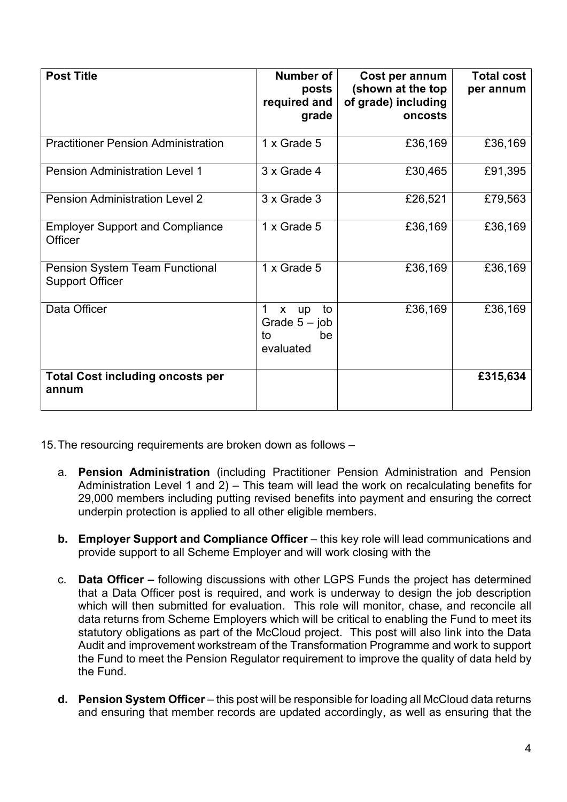| <b>Post Title</b>                                        | Number of<br>posts<br>required and<br>grade            | Cost per annum<br>(shown at the top<br>of grade) including<br>oncosts | <b>Total cost</b><br>per annum |
|----------------------------------------------------------|--------------------------------------------------------|-----------------------------------------------------------------------|--------------------------------|
| <b>Practitioner Pension Administration</b>               | 1 x Grade 5                                            | £36,169                                                               | £36,169                        |
| <b>Pension Administration Level 1</b>                    | 3 x Grade 4                                            | £30,465                                                               | £91,395                        |
| <b>Pension Administration Level 2</b>                    | 3 x Grade 3                                            | £26,521                                                               | £79,563                        |
| <b>Employer Support and Compliance</b><br>Officer        | 1 x Grade 5                                            | £36,169                                                               | £36,169                        |
| Pension System Team Functional<br><b>Support Officer</b> | 1 x Grade 5                                            | £36,169                                                               | £36,169                        |
| Data Officer                                             | to<br>x up<br>Grade $5 - job$<br>be<br>to<br>evaluated | £36,169                                                               | £36,169                        |
| <b>Total Cost including oncosts per</b><br>annum         |                                                        |                                                                       | £315,634                       |

15.The resourcing requirements are broken down as follows –

- a. **Pension Administration** (including Practitioner Pension Administration and Pension Administration Level 1 and 2) – This team will lead the work on recalculating benefits for 29,000 members including putting revised benefits into payment and ensuring the correct underpin protection is applied to all other eligible members.
- **b. Employer Support and Compliance Officer** this key role will lead communications and provide support to all Scheme Employer and will work closing with the
- c. **Data Officer –** following discussions with other LGPS Funds the project has determined that a Data Officer post is required, and work is underway to design the job description which will then submitted for evaluation. This role will monitor, chase, and reconcile all data returns from Scheme Employers which will be critical to enabling the Fund to meet its statutory obligations as part of the McCloud project. This post will also link into the Data Audit and improvement workstream of the Transformation Programme and work to support the Fund to meet the Pension Regulator requirement to improve the quality of data held by the Fund.
- **d. Pension System Officer** this post will be responsible for loading all McCloud data returns and ensuring that member records are updated accordingly, as well as ensuring that the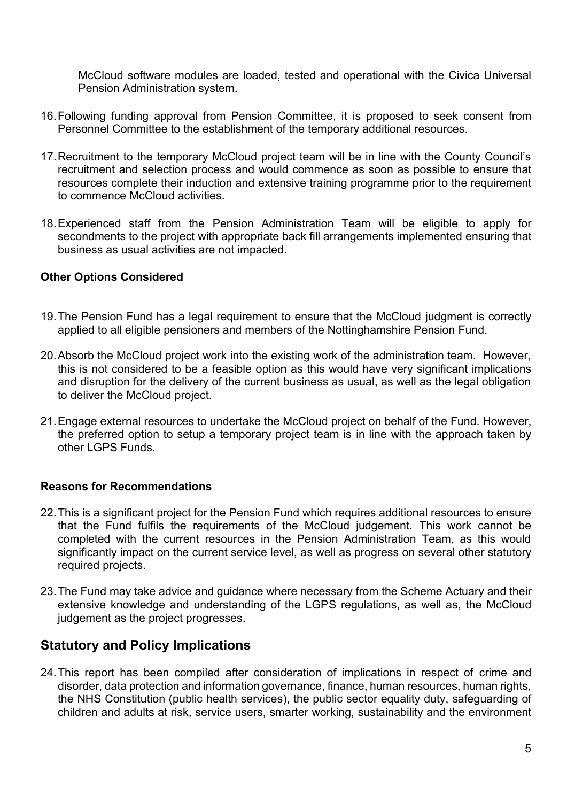McCloud software modules are loaded, tested and operational with the Civica Universal Pension Administration system.

- 16.Following funding approval from Pension Committee, it is proposed to seek consent from Personnel Committee to the establishment of the temporary additional resources.
- 17.Recruitment to the temporary McCloud project team will be in line with the County Council's recruitment and selection process and would commence as soon as possible to ensure that resources complete their induction and extensive training programme prior to the requirement to commence McCloud activities.
- 18.Experienced staff from the Pension Administration Team will be eligible to apply for secondments to the project with appropriate back fill arrangements implemented ensuring that business as usual activities are not impacted.

#### **Other Options Considered**

- 19.The Pension Fund has a legal requirement to ensure that the McCloud judgment is correctly applied to all eligible pensioners and members of the Nottinghamshire Pension Fund.
- 20.Absorb the McCloud project work into the existing work of the administration team. However, this is not considered to be a feasible option as this would have very significant implications and disruption for the delivery of the current business as usual, as well as the legal obligation to deliver the McCloud project.
- 21.Engage external resources to undertake the McCloud project on behalf of the Fund. However, the preferred option to setup a temporary project team is in line with the approach taken by other LGPS Funds.

#### **Reasons for Recommendations**

- 22.This is a significant project for the Pension Fund which requires additional resources to ensure that the Fund fulfils the requirements of the McCloud judgement. This work cannot be completed with the current resources in the Pension Administration Team, as this would significantly impact on the current service level, as well as progress on several other statutory required projects.
- 23.The Fund may take advice and guidance where necessary from the Scheme Actuary and their extensive knowledge and understanding of the LGPS regulations, as well as, the McCloud judgement as the project progresses.

### **Statutory and Policy Implications**

24.This report has been compiled after consideration of implications in respect of crime and disorder, data protection and information governance, finance, human resources, human rights, the NHS Constitution (public health services), the public sector equality duty, safeguarding of children and adults at risk, service users, smarter working, sustainability and the environment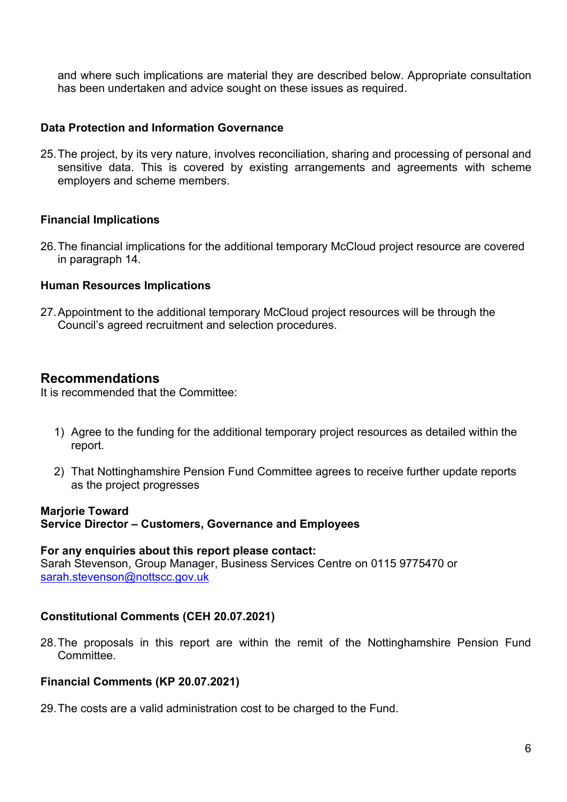and where such implications are material they are described below. Appropriate consultation has been undertaken and advice sought on these issues as required.

#### **Data Protection and Information Governance**

25.The project, by its very nature, involves reconciliation, sharing and processing of personal and sensitive data. This is covered by existing arrangements and agreements with scheme employers and scheme members.

#### **Financial Implications**

26.The financial implications for the additional temporary McCloud project resource are covered in paragraph 14.

#### **Human Resources Implications**

27.Appointment to the additional temporary McCloud project resources will be through the Council's agreed recruitment and selection procedures.

### **Recommendations**

It is recommended that the Committee:

- 1) Agree to the funding for the additional temporary project resources as detailed within the report.
- 2) That Nottinghamshire Pension Fund Committee agrees to receive further update reports as the project progresses

#### **Marjorie Toward**

#### **Service Director – Customers, Governance and Employees**

#### **For any enquiries about this report please contact:**

Sarah Stevenson, Group Manager, Business Services Centre on 0115 9775470 or [sarah.stevenson@nottscc.gov.uk](mailto:sarah.stevenson@nottscc.gov.uk)

#### **Constitutional Comments (CEH 20.07.2021)**

28.The proposals in this report are within the remit of the Nottinghamshire Pension Fund **Committee** 

#### **Financial Comments (KP 20.07.2021)**

29.The costs are a valid administration cost to be charged to the Fund.